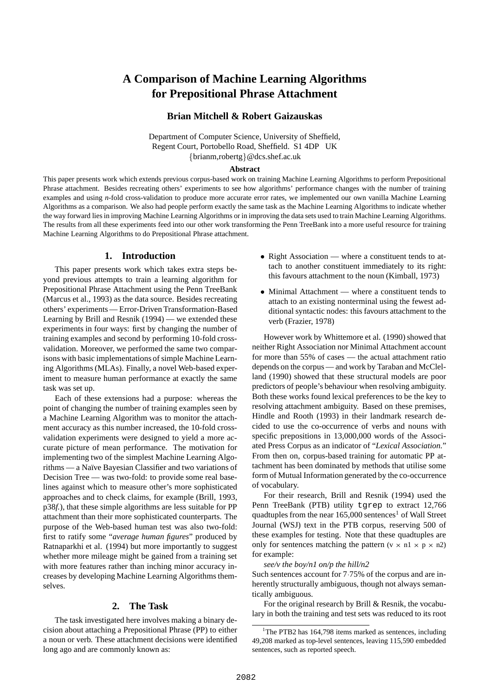# **A Comparison of Machine Learning Algorithms for Prepositional Phrase Attachment**

# **Brian Mitchell & Robert Gaizauskas**

Department of Computer Science, University of Sheffield, Regent Court, Portobello Road, Sheffield. S1 4DP UK brianm,robertg @dcs.shef.ac.uk

### **Abstract**

This paper presents work which extends previous corpus-based work on training Machine Learning Algorithms to perform Prepositional Phrase attachment. Besides recreating others' experiments to see how algorithms' performance changes with the number of training examples and using *n*-fold cross-validation to produce more accurate error rates, we implemented our own vanilla Machine Learning Algorithms as a comparison. We also had people perform exactly the same task as the Machine Learning Algorithms to indicate whether the way forward liesin improving Machine Learning Algorithms or in improving the data sets used to train Machine Learning Algorithms. The results from all these experiments feed into our other work transforming the Penn TreeBank into a more useful resource for training Machine Learning Algorithms to do Prepositional Phrase attachment.

## **1. Introduction**

This paper presents work which takes extra steps beyond previous attempts to train a learning algorithm for Prepositional Phrase Attachment using the Penn TreeBank (Marcus et al., 1993) as the data source. Besides recreating others' experiments — Error-Driven Transformation-Based Learning by Brill and Resnik (1994) — we extended these experiments in four ways: first by changing the number of training examples and second by performing 10-fold crossvalidation. Moreover, we performed the same two comparisons with basic implementations of simple Machine Learning Algorithms (MLAs). Finally, a novel Web-based experiment to measure human performance at exactly the same task was set up.

Each of these extensions had a purpose: whereas the point of changing the number of training examples seen by a Machine Learning Algorithm was to monitor the attachment accuracy as this number increased, the 10-fold crossvalidation experiments were designed to yield a more accurate picture of mean performance. The motivation for implementing two of the simplest Machine Learning Algorithms — a Naïve Bayesian Classifier and two variations of Decision Tree — was two-fold: to provide some real baselines against which to measure other's more sophisticated approaches and to check claims, for example (Brill, 1993, p38*f.*), that these simple algorithms are less suitable for PP attachment than their more sophisticated counterparts. The purpose of the Web-based human test was also two-fold: first to ratify some "*average human figures*" produced by Ratnaparkhi et al. (1994) but more importantly to suggest whether more mileage might be gained from a training set with more features rather than inching minor accuracy increases by developing Machine Learning Algorithms themselves.

### **2. The Task**

The task investigated here involves making a binary decision about attaching a Prepositional Phrase (PP) to either a noun or verb. These attachment decisions were identified long ago and are commonly known as:

- Right Association where a constituent tends to attach to another constituent immediately to its right: this favours attachment to the noun (Kimball, 1973)
- Minimal Attachment where a constituent tends to attach to an existing nonterminal using the fewest additional syntactic nodes: this favours attachment to the verb (Frazier, 1978)

However work by Whittemore et al. (1990) showed that neither Right Association nor Minimal Attachment account for more than 55% of cases — the actual attachment ratio depends on the corpus — and work by Taraban and McClelland (1990) showed that these structural models are poor predictors of people's behaviour when resolving ambiguity. Both these works found lexical preferences to be the key to resolving attachment ambiguity. Based on these premises, Hindle and Rooth (1993) in their landmark research decided to use the co-occurrence of verbs and nouns with specific prepositions in 13,000,000 words of the Associated Press Corpus as an indicator of "*Lexical Association.*" From then on, corpus-based training for automatic PP attachment has been dominated by methods that utilise some form of Mutual Information generated by the co-occurrence of vocabulary.

For their research, Brill and Resnik (1994) used the Penn TreeBank (PTB) utility tgrep to extract 12,766 quadtuples from the near  $165,000$  sentences<sup>1</sup> of Wall Street Journal (WSJ) text in the PTB corpus, reserving 500 of these examples for testing. Note that these quadtuples are only for sentences matching the pattern  $(v \times n1 \times p \times n2)$ for example:

#### *see/v the boy/n1 on/p the hill/n2*

Such sentences account for 7 75% of the corpus and are inherently structurally ambiguous, though not always semantically ambiguous.

For the original research by Brill & Resnik, the vocabulary in both the training and test sets was reduced to its root

<sup>&</sup>lt;sup>1</sup>The PTB2 has  $164,798$  items marked as sentences, including 49,208 marked as top-level sentences, leaving 115,590 embedded sentences, such as reported speech.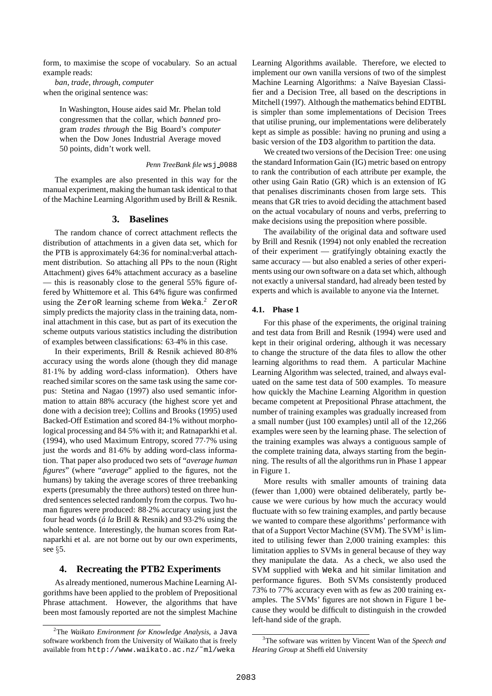form, to maximise the scope of vocabulary. So an actual example reads:

*ban*, *trade*, *through*, *computer* when the original sentence was:

> In Washington, House aides said Mr. Phelan told congressmen that the collar, which *banned* program *trades through* the Big Board's *computer* when the Dow Jones Industrial Average moved 50 points, didn't work well.

#### *Penn TreeBank file* ws  $\frac{1}{2}$  0088

The examples are also presented in this way for the manual experiment, making the human task identical to that of the Machine Learning Algorithm used by Brill & Resnik.

#### **3. Baselines**

The random chance of correct attachment reflects the distribution of attachments in a given data set, which for the PTB is approximately 64:36 for nominal:verbal attachment distribution. So attaching all PPs to the noun (Right Attachment) gives 64% attachment accuracy as a baseline — this is reasonably close to the general 55% figure offered by Whittemore et al. This 64% figure was confirmed using the ZeroR learning scheme from Weka. <sup>2</sup> ZeroR simply predicts the majority class in the training data, nominal attachment in this case, but as part of its execution the scheme outputs various statistics including the distribution of examples between classifications: 63 4% in this case.

In their experiments, Brill & Resnik achieved 80 8% accuracy using the words alone (though they did manage 81 1% by adding word-class information). Others have reached similar scores on the same task using the same corpus: Stetina and Nagao (1997) also used semantic information to attain 88% accuracy (the highest score yet and done with a decision tree); Collins and Brooks (1995) used Backed-Off Estimation and scored 84 1% without morphological processing and 84.5% with it; and Ratnaparkhi et al. (1994), who used Maximum Entropy, scored 77 7% using just the words and 81.6% by adding word-class information. That paper also produced two sets of "*average human figures*" (where "*average*" applied to the figures, not the humans) by taking the average scores of three treebanking experts (presumably the three authors) tested on three hundred sentences selected randomly from the corpus. Two human figures were produced: 88 2% accuracy using just the four head words (*a´ la* Brill & Resnik) and 93 2% using the whole sentence. Interestingly, the human scores from Ratnaparkhi et al. are not borne out by our own experiments, see  $\S$ 5.

## **4. Recreating the PTB2 Experiments**

As already mentioned, numerous Machine Learning Algorithms have been applied to the problem of Prepositional Phrase attachment. However, the algorithms that have been most famously reported are not the simplest Machine

Learning Algorithms available. Therefore, we elected to implement our own vanilla versions of two of the simplest Machine Learning Algorithms: a Naïve Bayesian Classifier and a Decision Tree, all based on the descriptions in Mitchell (1997). Although the mathematics behind EDTBL is simpler than some implementations of Decision Trees that utilise pruning, our implementations were deliberately kept as simple as possible: having no pruning and using a basic version of the ID3 algorithm to partition the data.

We created two versions of the Decision Tree: one using the standard Information Gain (IG) metric based on entropy to rank the contribution of each attribute per example, the other using Gain Ratio (GR) which is an extension of IG that penalises discriminants chosen from large sets. This means that GR tries to avoid deciding the attachment based on the actual vocabulary of nouns and verbs, preferring to make decisions using the preposition where possible.

The availability of the original data and software used by Brill and Resnik (1994) not only enabled the recreation of their experiment — gratifyingly obtaining exactly the same accuracy — but also enabled a series of other experiments using our own software on a data set which, although not exactly a universal standard, had already been tested by experts and which is available to anyone via the Internet.

#### **4.1. Phase 1**

For this phase of the experiments, the original training and test data from Brill and Resnik (1994) were used and kept in their original ordering, although it was necessary to change the structure of the data files to allow the other learning algorithms to read them. A particular Machine Learning Algorithm was selected, trained, and always evaluated on the same test data of 500 examples. To measure how quickly the Machine Learning Algorithm in question became competent at Prepositional Phrase attachment, the number of training examples was gradually increased from a small number (just 100 examples) until all of the 12,266 examples were seen by the learning phase. The selection of the training examples was always a contiguous sample of the complete training data, always starting from the beginning. The results of all the algorithms run in Phase 1 appear in Figure 1.

More results with smaller amounts of training data (fewer than 1,000) were obtained deliberately, partly because we were curious by how much the accuracy would fluctuate with so few training examples, and partly because we wanted to compare these algorithms' performance with that of a Support Vector Machine (SVM). The SVM<sup>3</sup> is limited to utilising fewer than 2,000 training examples: this limitation applies to SVMs in general because of they way they manipulate the data. As a check, we also used the SVM supplied with Weka and hit similar limitation and performance figures. Both SVMs consistently produced 73% to 77% accuracy even with as few as 200 training examples. The SVMs' figures are not shown in Figure 1 because they would be difficult to distinguish in the crowded left-hand side of the graph.

<sup>2</sup>The *Waikato Environment for Knowledge Analysis*, a Java software workbench from the University of Waikato that is freely available from http://www.waikato.ac.nz/˜ml/weka

<sup>3</sup>The software was written by Vincent Wan of the *Speech and* **Hearing Group** at Sheffield University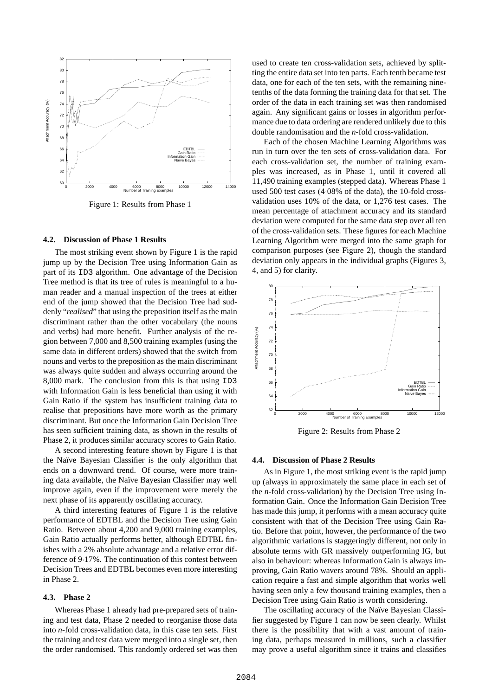

Figure 1: Results from Phase 1

#### **4.2. Discussion of Phase 1 Results**

The most striking event shown by Figure 1 is the rapid jump up by the Decision Tree using Information Gain as part of its ID3 algorithm. One advantage of the Decision Tree method is that its tree of rules is meaningful to a human reader and a manual inspection of the trees at either end of the jump showed that the Decision Tree had suddenly "*realised*" that using the preposition itself as the main discriminant rather than the other vocabulary (the nouns and verbs) had more benefit. Further analysis of the region between 7,000 and 8,500 training examples (using the same data in different orders) showed that the switch from nouns and verbs to the preposition as the main discriminant was always quite sudden and always occurring around the 8,000 mark. The conclusion from this is that using ID3 with Information Gain is less beneficial than using it with Gain Ratio if the system has insufficient training data to realise that prepositions have more worth as the primary discriminant. But once the Information Gain Decision Tree has seen sufficient training data, as shown in the results of Phase 2, it produces similar accuracy scores to Gain Ratio.

A second interesting feature shown by Figure 1 is that the Naïve Bayesian Classifier is the only algorithm that ends on a downward trend. Of course, were more training data available, the Naïve Bayesian Classifier may well improve again, even if the improvement were merely the next phase of its apparently oscillating accuracy.

A third interesting features of Figure 1 is the relative performance of EDTBL and the Decision Tree using Gain Ratio. Between about 4,200 and 9,000 training examples, Gain Ratio actually performs better, although EDTBL finishes with a 2% absolute advantage and a relative error difference of 9 17%. The continuation of this contest between Decision Trees and EDTBL becomes even more interesting in Phase 2.

#### **4.3. Phase 2**

Whereas Phase 1 already had pre-prepared sets of training and test data, Phase 2 needed to reorganise those data into *n*-fold cross-validation data, in this case ten sets. First the training and test data were merged into a single set, then the order randomised. This randomly ordered set was then

used to create ten cross-validation sets, achieved by splitting the entire data set into ten parts. Each tenth became test data, one for each of the ten sets, with the remaining ninetenths of the data forming the training data for that set. The order of the data in each training set was then randomised again. Any significant gains or losses in algorithm performance due to data ordering are rendered unlikely due to this double randomisation and the *n*-fold cross-validation.

Each of the chosen Machine Learning Algorithms was run in turn over the ten sets of cross-validation data. For each cross-validation set, the number of training examples was increased, as in Phase 1, until it covered all 11,490 training examples (stepped data). Whereas Phase 1 used 500 test cases (4 08% of the data), the 10-fold crossvalidation uses 10% of the data, or 1,276 test cases. The mean percentage of attachment accuracy and its standard deviation were computed for the same data step over all ten of the cross-validation sets. These figures for each Machine Learning Algorithm were merged into the same graph for comparison purposes (see Figure 2), though the standard deviation only appears in the individual graphs (Figures 3, 4, and 5) for clarity.



Figure 2: Results from Phase 2

#### **4.4. Discussion of Phase 2 Results**

As in Figure 1, the most striking event is the rapid jump up (always in approximately the same place in each set of the *n*-fold cross-validation) by the Decision Tree using Information Gain. Once the Information Gain Decision Tree has made this jump, it performs with a mean accuracy quite consistent with that of the Decision Tree using Gain Ratio. Before that point, however, the performance of the two algorithmic variations is staggeringly different, not only in absolute terms with GR massively outperforming IG, but also in behaviour: whereas Information Gain is always improving, Gain Ratio wavers around 78%. Should an application require a fast and simple algorithm that works well having seen only a few thousand training examples, then a Decision Tree using Gain Ratio is worth considering.

The oscillating accuracy of the Naïve Bayesian Classifier suggested by Figure 1 can now be seen clearly. Whilst there is the possibility that with a vast amount of training data, perhaps measured in millions, such a classifier may prove a useful algorithm since it trains and classifies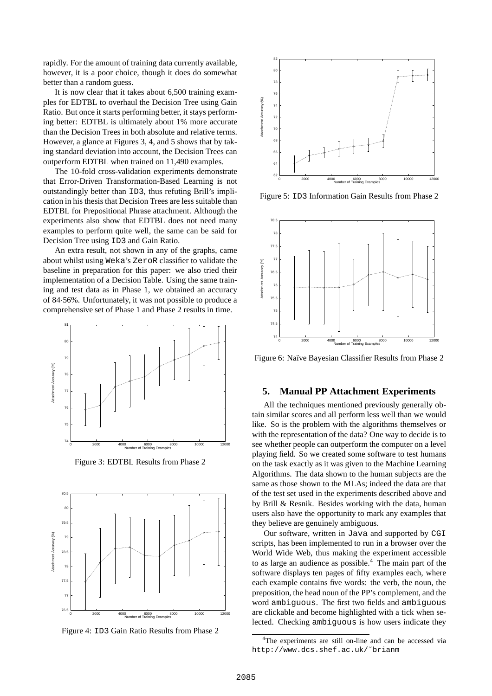rapidly. For the amount of training data currently available, however, it is a poor choice, though it does do somewhat better than a random guess.

It is now clear that it takes about 6,500 training examples for EDTBL to overhaul the Decision Tree using Gain Ratio. But once it starts performing better, it stays performing better: EDTBL is ultimately about 1% more accurate than the Decision Trees in both absolute and relative terms. However, a glance at Figures 3, 4, and 5 shows that by taking standard deviation into account, the Decision Trees can outperform EDTBL when trained on 11,490 examples.

The 10-fold cross-validation experiments demonstrate that Error-Driven Transformation-Based Learning is not outstandingly better than ID3, thus refuting Brill's implication in his thesis that Decision Trees are less suitable than EDTBL for Prepositional Phrase attachment. Although the experiments also show that EDTBL does not need many examples to perform quite well, the same can be said for Decision Tree using ID3 and Gain Ratio.

An extra result, not shown in any of the graphs, came about whilst using Weka's ZeroR classifier to validate the baseline in preparation for this paper: we also tried their implementation of a Decision Table. Using the same training and test data as in Phase 1, we obtained an accuracy of 84 56%. Unfortunately, it was not possible to produce a comprehensive set of Phase 1 and Phase 2 results in time.



Figure 3: EDTBL Results from Phase 2



Figure 4: ID3 Gain Ratio Results from Phase 2



Figure 5: ID3 Information Gain Results from Phase 2



Figure 6: Naïve Bayesian Classifier Results from Phase 2

### **5. Manual PP Attachment Experiments**

All the techniques mentioned previously generally obtain similar scores and all perform less well than we would like. So is the problem with the algorithms themselves or with the representation of the data? One way to decide is to see whether people can outperform the computer on a level playing field. So we created some software to test humans on the task exactly as it was given to the Machine Learning Algorithms. The data shown to the human subjects are the same as those shown to the MLAs; indeed the data are that of the test set used in the experiments described above and by Brill & Resnik. Besides working with the data, human users also have the opportunity to mark any examples that they believe are genuinely ambiguous.

Our software, written in Java and supported by CGI scripts, has been implemented to run in a browser over the World Wide Web, thus making the experiment accessible to as large an audience as possible.<sup>4</sup> The main part of the software displays ten pages of fifty examples each, where each example contains five words: the verb, the noun, the preposition, the head noun of the PP's complement, and the word ambiguous. The first two fields and ambiguous are clickable and become highlighted with a tick when selected. Checking ambiguous is how users indicate they

<sup>4</sup>The experiments are still on-line and can be accessed via http://www.dcs.shef.ac.uk/˜brianm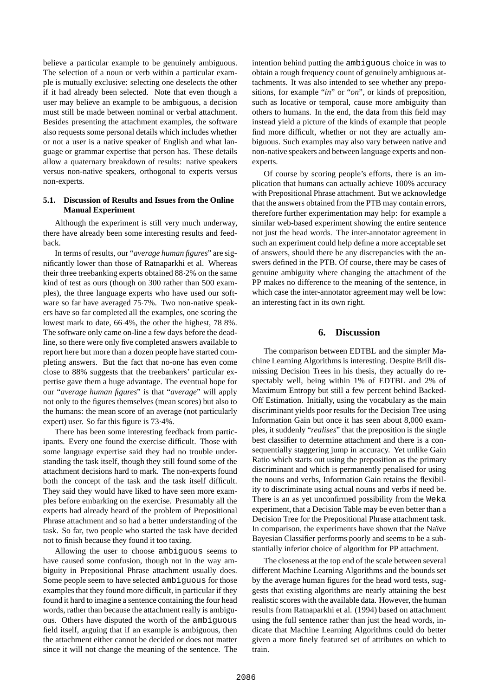believe a particular example to be genuinely ambiguous. The selection of a noun or verb within a particular example is mutually exclusive: selecting one deselects the other if it had already been selected. Note that even though a user may believe an example to be ambiguous, a decision must still be made between nominal or verbal attachment. Besides presenting the attachment examples, the software also requests some personal details which includes whether or not a user is a native speaker of English and what language or grammar expertise that person has. These details allow a quaternary breakdown of results: native speakers versus non-native speakers, orthogonal to experts versus non-experts.

### **5.1. Discussion of Results and Issues from the Online Manual Experiment**

Although the experiment is still very much underway, there have already been some interesting results and feedback.

In terms of results, our "*average human figures*" are significantly lower than those of Ratnaparkhi et al. Whereas their three treebanking experts obtained 88 2% on the same kind of test as ours (though on 300 rather than 500 examples), the three language experts who have used our software so far have averaged 75 7%. Two non-native speakers have so far completed all the examples, one scoring the lowest mark to date, 66 4%, the other the highest, 78 8%. The software only came on-line a few days before the deadline, so there were only five completed answers available to report here but more than a dozen people have started completing answers. But the fact that no-one has even come close to 88% suggests that the treebankers' particular expertise gave them a huge advantage. The eventual hope for our "*average human figures*" is that "*average*" will apply not only to the figures themselves (mean scores) but also to the humans: the mean score of an average (not particularly expert) user. So far this figure is 73 4%.

There has been some interesting feedback from participants. Every one found the exercise difficult. Those with some language expertise said they had no trouble understanding the task itself, though they still found some of the attachment decisions hard to mark. The non-experts found both the concept of the task and the task itself difficult. They said they would have liked to have seen more examples before embarking on the exercise. Presumably all the experts had already heard of the problem of Prepositional Phrase attachment and so had a better understanding of the task. So far, two people who started the task have decided not to finish because they found it too taxing.

Allowing the user to choose ambiguous seems to have caused some confusion, though not in the way ambiguity in Prepositional Phrase attachment usually does. Some people seem to have selected ambiguous for those examples that they found more difficult, in particular if they found it hard to imagine a sentence containing the four head words, rather than because the attachment really is ambiguous. Others have disputed the worth of the ambiguous field itself, arguing that if an example is ambiguous, then the attachment either cannot be decided or does not matter since it will not change the meaning of the sentence. The intention behind putting the ambiguous choice in was to obtain a rough frequency count of genuinely ambiguous attachments. It was also intended to see whether any prepositions, for example "*in*" or "*on*", or kinds of preposition, such as locative or temporal, cause more ambiguity than others to humans. In the end, the data from this field may instead yield a picture of the kinds of example that people find more difficult, whether or not they are actually ambiguous. Such examples may also vary between native and non-native speakers and between language experts and nonexperts.

Of course by scoring people's efforts, there is an implication that humans can actually achieve 100% accuracy with Prepositional Phrase attachment. But we acknowledge that the answers obtained from the PTB may contain errors, therefore further experimentation may help: for example a similar web-based experiment showing the entire sentence not just the head words. The inter-annotator agreement in such an experiment could help define a more acceptable set of answers, should there be any discrepancies with the answers defined in the PTB. Of course, there may be cases of genuine ambiguity where changing the attachment of the PP makes no difference to the meaning of the sentence, in which case the inter-annotator agreement may well be low: an interesting fact in its own right.

# **6. Discussion**

The comparison between EDTBL and the simpler Machine Learning Algorithms is interesting. Despite Brill dismissing Decision Trees in his thesis, they actually do respectably well, being within 1% of EDTBL and 2% of Maximum Entropy but still a few percent behind Backed-Off Estimation. Initially, using the vocabulary as the main discriminant yields poor results for the Decision Tree using Information Gain but once it has seen about 8,000 examples, it suddenly "*realises*" that the preposition is the single best classifier to determine attachment and there is a consequentially staggering jump in accuracy. Yet unlike Gain Ratio which starts out using the preposition as the primary discriminant and which is permanently penalised for using the nouns and verbs, Information Gain retains the flexibility to discriminate using actual nouns and verbs if need be. There is an as yet unconfirmed possibility from the Weka experiment, that a Decision Table may be even better than a Decision Tree for the Prepositional Phrase attachment task. In comparison, the experiments have shown that the Naïve Bayesian Classifier performs poorly and seems to be a substantially inferior choice of algorithm for PP attachment.

The closeness at the top end of the scale between several different Machine Learning Algorithms and the bounds set by the average human figures for the head word tests, suggests that existing algorithms are nearly attaining the best realistic scores with the available data. However, the human results from Ratnaparkhi et al. (1994) based on attachment using the full sentence rather than just the head words, indicate that Machine Learning Algorithms could do better given a more finely featured set of attributes on which to train.